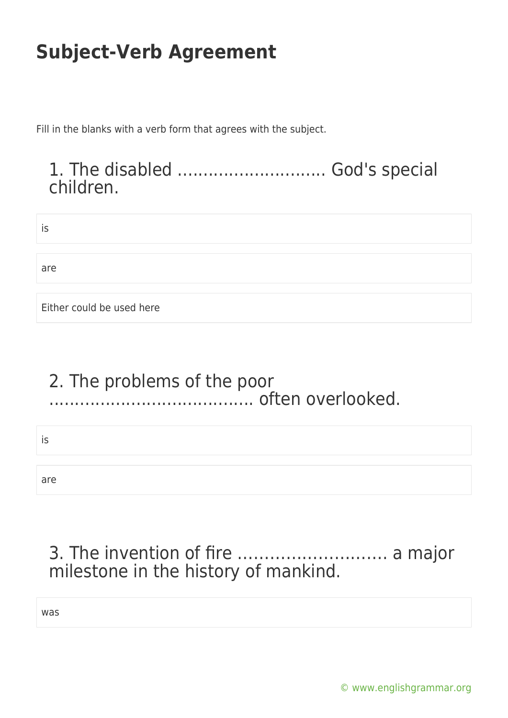Fill in the blanks with a verb form that agrees with the subject.

### 1. The disabled ............................. God's special children.

| İS                        |  |  |
|---------------------------|--|--|
|                           |  |  |
| are                       |  |  |
|                           |  |  |
| Either could be used here |  |  |

#### 2. The problems of the poor ........................................ often overlooked.

is

are

### 3. The invention of fire ………………………. a major milestone in the history of mankind.

was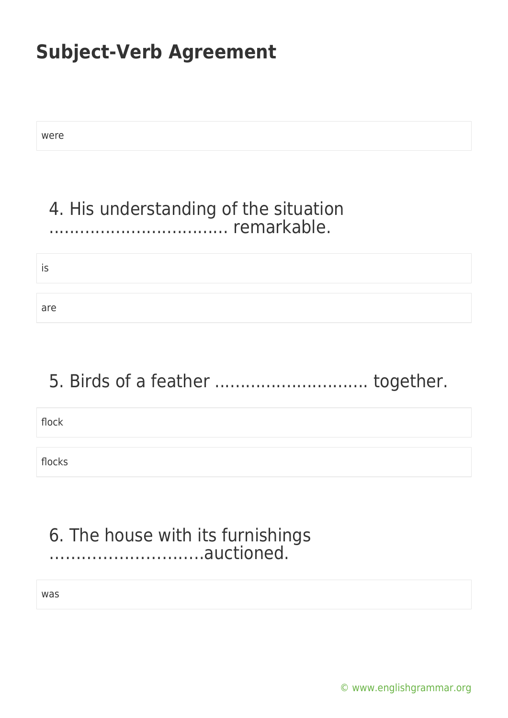were

### 4. His understanding of the situation ................................... remarkable.

is

are

### 5. Birds of a feather ................................... together.

flock

flocks

#### 6. The house with its furnishings ………………………..auctioned.

was

[© www.englishgrammar.org](https://www.englishgrammar.org/)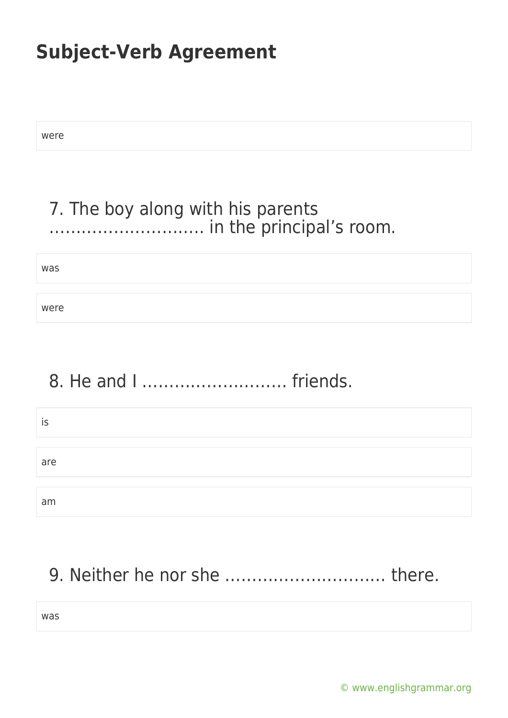were

### 7. The boy along with his parents ……………………….. in the principal's room.

was

were

# 8. He and I ……………………… friends.

| IS  |  |
|-----|--|
|     |  |
| are |  |
|     |  |
| am  |  |

### 9. Neither he nor she ………………………… there.

was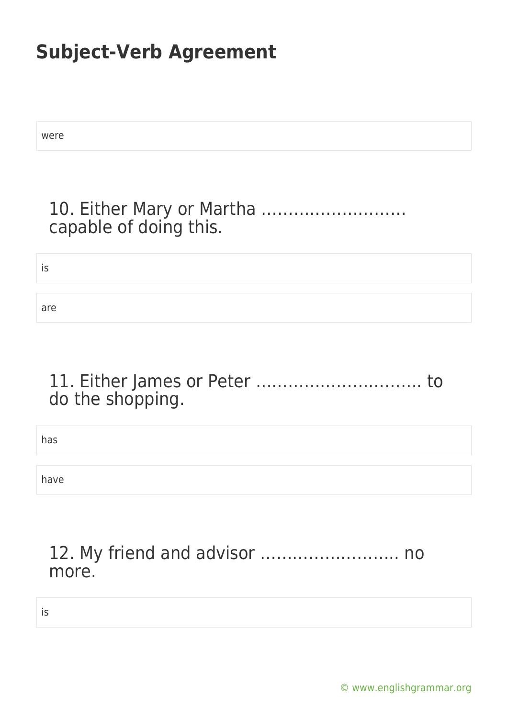| were                   |
|------------------------|
|                        |
| capable of doing this. |
| is                     |

are

#### 11. Either James or Peter …………………………. to do the shopping.

has

have

#### 12. My friend and advisor …………………….. no more.

is